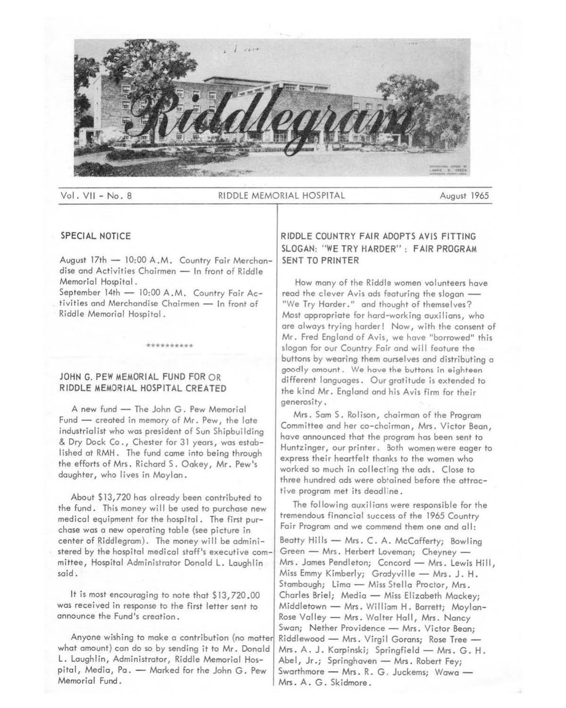

Vol. VII - No. 8 RIDDLE MEMORIAL HOSPITAL August 1965

#### SPECIAL NOTICE

August 17th - 10:00 A.M. Country Fair Merchandise and Activities Chairmen - In front of Riddle Memorial Hospital.

September 14th - 10:00 A.M. Country Fair Activities and Merchandise Chairmen - In front of Riddle Memorial Hospital.

\*\*\*\*\*\*\*\*\*

## JOHN G. PEW MEMORIAL FUND FOR OR RIDDLE MEMORIAL HOSPITAL CREATED

A new fund - The John G. Pew Memorial Fund - created in memory of Mr. Pew, the late industrialist who was president of Sun Shipbuilding & Dry Dock Co., Chester for 31 years, was established at RMH. The fund come into being through the efforts of Mrs. Richard S. Oakey, Mr. Pew's daughter, who lives in Moylan.

About \$13,720 hos already been contributed to the fund. This money will be used to purchase new medical equipment for the hospital. The first purchase was a new operating table {see picture in center of Riddlegrom). The money will be administered by the hospital medical staff's executive committee, Hospital Administrator Donald L. Loughlin said.

It is most encouraging to note that \$13,720.00 was received in response to the first letter sent to announce the Fund's creation.

Anyone wishing to make a contribution (no matter what amount) con do so by sending it to Mr. Donald L. Loughlin, Administrator, Riddle Memorial Hospital, Media, Pa. - Marked for the John G. Pew Memorial Fund.

# RIDDLE COUNTRY FAIR ADOPTS AVIS FITTING SLOGAN: "WE TRY HARDER": FAIR PROGRAM SENT TO PRINTER

How many of the Riddle women volunteers have read the clever Avis ads featuring the slogan -"We Try Harder." and thought of themselves? Most appropriate for hard-working ouxilions, who are always trying harder! Now, with the consent of Mr. Fred England of Avis, we hove "borrowed" this slogan for our Country Fair and will feature the buttons by wearing them ourselves and distributing a goodly amount. We hove the buttons in eighteen different languages. Our gratitude is extended to the kind Mr. England and his Avis firm for their generosity.

Mrs. Sam S. Rolison, chairman of the Program Committee and her co-chairman, **Mrs.** Victor Bean, have announced that the program has been sent to Huntzinger, our printer. Both women were eager to express their heartfelt thanks to the women who worked so much in collecting the ads. Close to three hundred ads were obtained before the attractive program met its deadline.

The following auxilions were responsible for the tremendous financial success of the 1965 Country Fair Program and we commend them one and all:

Beatty Hills - Mrs. C. A. McCafferty; Bowling Green - Mrs. Herbert Loveman; Cheyney -Mrs. James Pendleton; Concord - Mrs. Lewis Hill, Miss Emmy Kimberly; Gradyville - Mrs. J. H. Stambaugh; Lima - Miss Stella Proctor, Mrs. Charles Briel; Media - Miss Elizabeth Mackey; Middletown - Mrs. William H. Barrett; Moylan-Rose Valley - Mrs. Walter Hall, Mrs. Nancy Swan; Nether Providence - Mrs. Victor Bean; Riddlewood - Mrs. Virgil Gorans; Rose Tree -Mrs. A. J. Karpinski; Springfield - Mrs. G. H. Abel, Jr.; Springhaven - Mrs. Robert Fey; Swarthmore - Mrs. R. G. Juckems; Wawa -Mrs. A. G. Skidmore.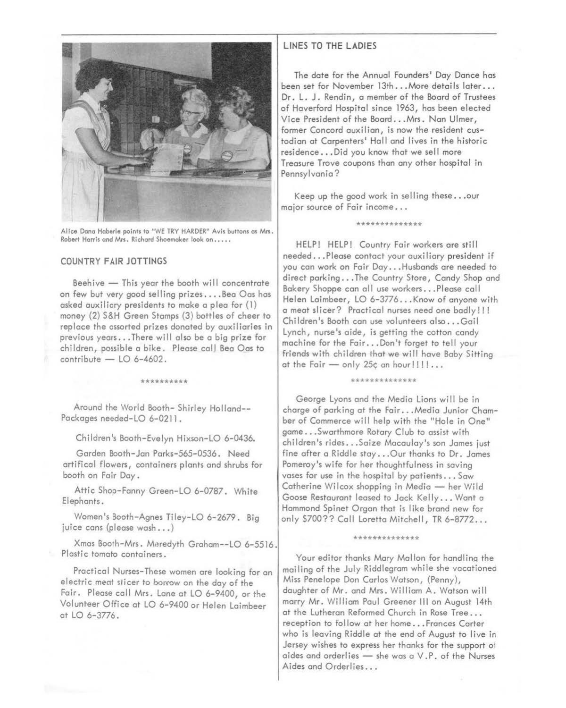

Alice Dono Haberle points to "WE TRY HARDER" Avis buttons os Mrs. Robert Horris and Mrs. Richard Shoemaker look on ....•

#### COUNTRY FAIR JOTTINGS

Beehive  $-$  This year the booth will concentrate on few but very good selling prizes .... Seo Oas hos asked auxiliary presidents to make o plea for (1) money (2) S&H Green Stomps (3) bottles of cheer to replace the assorted prizes donated by auxiliaries in previous years ... There will also be a big prize for children, possible a bike. Please call Bea Oas to  $contribute - LO 6-4602.$ 

\*\*\*\*\*\*\*\*\*

Around the World Booth- Shirley Holland-- Packages needed-LO 6-0211.

Children's Booth-Evelyn Hixson-LO 6-0436.

Gorden Booth-Jon Porks-565-0536. Need ortificol flowers, containers plants and shrubs for booth on Fair Doy.

Attic Shop-Fanny Green-LO 6-0787. White Elephants.

Women's Booth-Agnes Tiley-LO 6-2679. Big juice cans (please wash...)

Xmas Booth-Mrs. Meredyth Grohom--LO 6-5516. Plastic tomato containers.

Practical Nurses-These women ore looking for on electric meat slicer to borrow on the day of the Fair. Please call Mrs. Lone at LO 6-9400, or the Volunteer Office ot LO 6-9400 or Helen Loimbeer at LO 6-3776.

### LINES TO THE LADIES

The date for the Annual Founders' Day Dance has been set for November 13th ... More details later ... Dr. L. J. Rendin, a member of the Boord of Trustees of Haverford Hospital since 1963, hos been elected Vice President of the Boord ... Mrs. Non Ulmer, former Concord ouxilion, is now the resident custodian ot Carpenters' Holl and lives in the historic residence ... Did you know that we sell more Treasure Trove coupons than any other hospital in Pennsylvania?

Keep up the good work in selling these ... our major source of Fair income ...

\*\*\*\*\*\*\*\*\*\*\*\*

HELP! HELP! Country Fair workers ore still needed ... Please contact your ouxi liory president if you con work on Fair Doy ... Husbands ore needed to direct parking ... The Country Store, Candy Shop and Bakery Shoppe con all use workers ... Please coll Helen Laimbeer, LO 6-3776... Know of anyone with o meat slicer? Practical nurses need one badly!!! Children's Booth can use volunteers also...Gail Lynch, nurse's aide, is getting the cotton candy machine for the Fair ... Don't forget to tell your friends with children that we will hove Baby Sitting at the Fair - only 25¢ an hour!!!!...

#### \*\*\*\*\*\*\*\*\*\*\*\*

George Lyons and the Media Lions wi 11 be in charge of parking at the Fair ... Media Junior Chamber of Commerce will help with the "Hole in One" game ... Swarthmore Rotary Club to assist with children's rides ... Soize Macaulay's son Jomes just fine ofter o Riddle stay ... Our thanks to Dr. Jomes Pomeroy's wife for her thoughtfulness in saving vases for use in the hospital by patients ... Sow Catherine Wilcox shopping in Media - her Wild Goose Restaurant leased to Jock Kelly ... Wont a Hammond Spinet Organ that is like brand new for only \$700?? Call Loretta Mitchell, TR 6-8772...

#### \*\*\*\*\*\*\*\*\*\*\*\*\*\*

Your editor thanks Mary Mallon for handling the moiling of the July Riddlegrom while she vacationed Miss Penelope Don Carlos Watson, (Penny), daughter of Mr. and Mrs. William A. Watson will marry Mr. William Poul Greener Ill on August 14th at the Lutheran Reformed Church in Rose Tree ... reception to follow at her home... Frances Carter who is leaving Riddle at the end of August to live in Jersey wishes to express her thanks for the support ol aides and orderlies  $-$  she was a V.P. of the Nurses Aides and Orderlies ...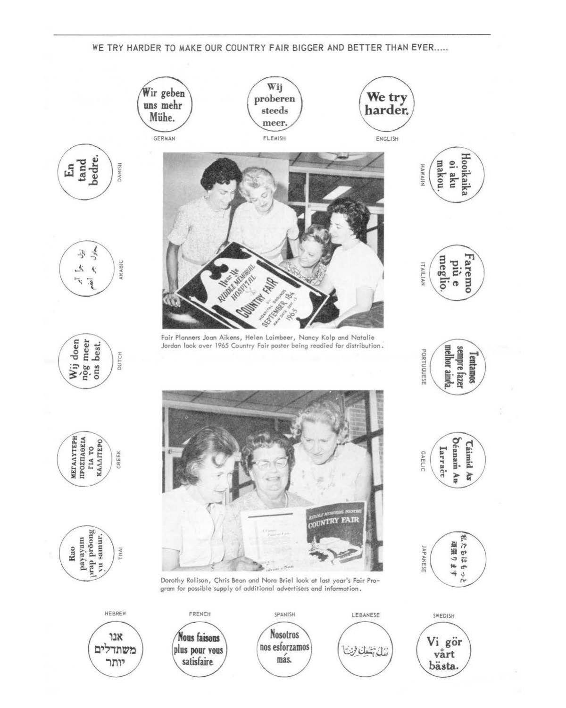WE TRY HARDER TO MAKE OUR COUNTRY FAIR BIGGER AND BETTER THAN EVER.....

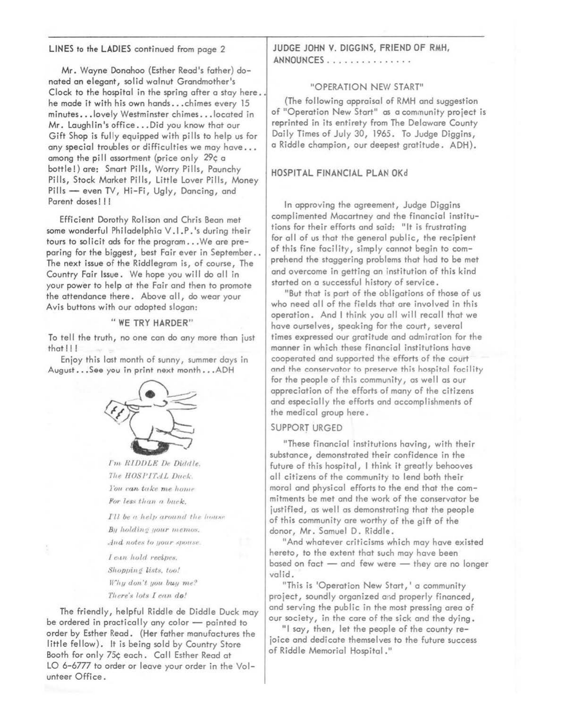### LINES to the LADIES continued from page 2

Mr. Wayne Donahoo (Esther Read's father) donated an elegant, solid walnut Grandmother's Clock to the hospital in the spring after a stay here.. he made it with his own hands...chimes every 15 minutes... lovely Westminster chimes... located in Mr. Laughlin's office...Did you know that our Gift Shop is fully equipped with pills to help us for any special troubles or difficulties we may have... among the pill assortment (price only 29¢ a bottle!) are: Smart Pills, Worry Pills, Paunchy Pills, Stock Market Pills, Little Lover Pills, Money Pills - even TV, Hi-Fi, Ugly, Dancing, and Parent doses!!!

Efficient Dorothy Rolison and Chris Bean met some wonderful Philadelphia V.I.P.'s during their tours to solicit ads for the program...We are preparing for the biggest, best Fair ever in September. The next issue of the Riddlegram is, of course, The Country Fair Issue. We hope you will do all in your power to help at the Fair and then to promote the attendance there. Above all, do wear your Avis buttons with our adopted slogan:

#### "WE TRY HARDER"

To tell the truth, no one can do any more than just  $that$  $||$ 

Enjoy this last month of sunny, summer days in August...See you in print next month...ADH



I'm RIDDLE De Diddle. The HOSPITAL Duck. Tou can take me home For less than a buck.

I'll be a help around the house By holding your memos. And notes to your spouse.

I can hold recipes. Shopping lists, too! Why don't you buy me? There's lots I can do!

The friendly, helpful Riddle de Diddle Duck may be ordered in practically any color - painted to order by Esther Read. (Her father manufactures the little fellow). It is being sold by Country Store Booth for only 75¢ each. Call Esther Read at LO 6-6777 to order or leave your order in the Volunteer Office.

JUDGE JOHN V. DIGGINS, FRIEND OF RMH, ANNOUNCES...............

#### "OPERATION NEW START"

(The following appraisal of RMH and suggestion of "Operation New Start" as a community project is reprinted in its entirety from The Delaware County Daily Times of July 30, 1965. To Judge Diggins, a Riddle champion, our deepest gratitude. ADH).

### HOSPITAL FINANCIAL PLAN OKd

In approving the agreement, Judge Diggins complimented Macartney and the financial institutions for their efforts and said: "It is frustrating for all of us that the general public, the recipient of this fine facility, simply cannot begin to comprehend the staggering problems that had to be met and overcome in getting an institution of this kind started on a successful history of service.

"But that is part of the obligations of those of us who need all of the fields that are involved in this operation. And I think you all will recall that we have ourselves, speaking for the court, several times expressed our gratitude and admiration for the manner in which these financial institutions have cooperated and supported the efforts of the court and the conservator to preserve this hospital facility for the people of this community, as well as our appreciation of the efforts of many of the citizens and especially the efforts and accomplishments of the medical group here.

### **SUPPORT URGED**

"These financial institutions having, with their substance, demonstrated their confidence in the future of this hospital, I think it greatly behooves all citizens of the community to lend both their moral and physical efforts to the end that the commitments be met and the work of the conservator be justified, as well as demonstrating that the people of this community are worthy of the gift of the donor, Mr. Samuel D. Riddle.

"And whatever criticisms which may have existed hereto, to the extent that such may have been based on fact - and few were - they are no longer valid.

"This is 'Operation New Start,' a community project, soundly organized and properly financed, and serving the public in the most pressing area of our society, in the care of the sick and the dying.

"I say, then, let the people of the county rejoice and dedicate themselves to the future success of Riddle Memorial Hospital."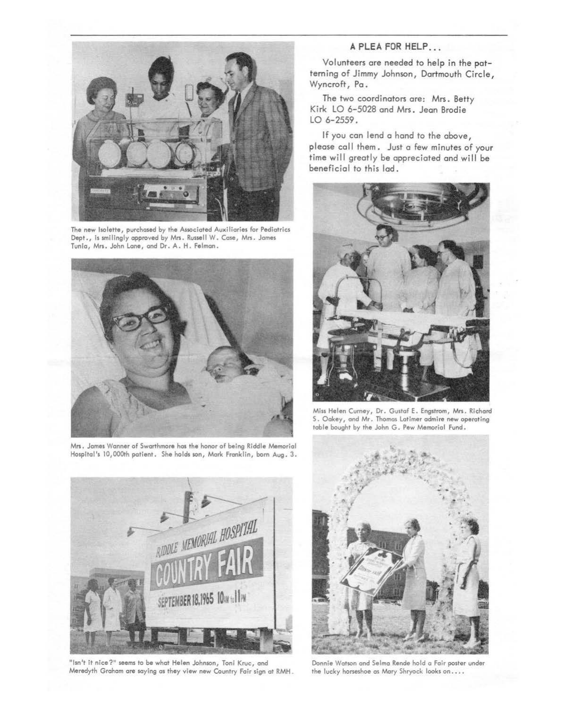

**The** new lsolette, purchased by the Associated Auxiliaries for Pediatrics Dept., is smilingly appraved by Mrs. Russell W. Case, Mrs. James Tunic, Mrs. John Lane, and Dr. A.H. Felman.



Mrs. James Wanner of Swarthmore hos the honor of being Riddle Memorial Hospital's 10,000th patient. She holds son, Mork Franklin, born Aug. 3.



"Isn't it nice?" seems to be what Helen Johnson, Toni Kruc, and Meredyth Graham are soying as they view new Country Fair sign at RMH

# **A PLEA FOR HELP ...**

Volunteers are needed to help in the patterning of Jimmy Johnson, Dartmouth Circle, Wyncroft, Pa .

The two coordinators are: Mrs. Betty Kirk LO 6-5028 ond Mrs. Jean Brodie LO 6-2559.

If you can lend a hand to the above, please call them. Just a few minutes of your time will greatly be appreciated and will be beneficial to this lad.



Miss Helen Cumey, Dr. Gustaf **E.** Engstrom, Mrs. Richard S. Oakey, and Mr. Thomas Latimer admire new operating table bought by the John G. Pew Memorial Fund.



Donnie Watson ond Selma Rende hold a Fair poster under the lucky horseshoe as Mary Shryock looks on....